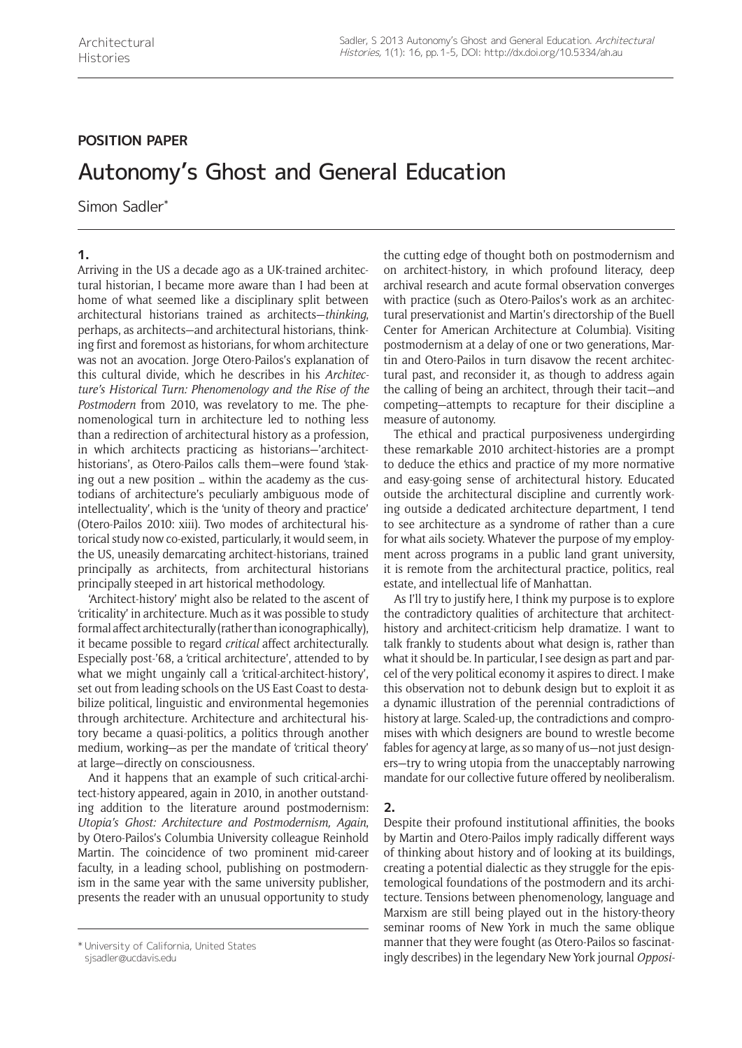# **POSITION PAPER**

# Autonomy's Ghost and General Education

Simon Sadler\*

## **1.**

Arriving in the US a decade ago as a UK-trained architectural historian, I became more aware than I had been at home of what seemed like a disciplinary split between architectural historians trained as architects—*thinking*, perhaps, as architects—and architectural historians, thinking first and foremost as historians, for whom architecture was not an avocation. Jorge Otero-Pailos's explanation of this cultural divide, which he describes in his *Architecture's Historical Turn: Phenomenology and the Rise of the Postmodern* from 2010, was revelatory to me. The phenomenological turn in architecture led to nothing less than a redirection of architectural history as a profession, in which architects practicing as historians—'architecthistorians', as Otero-Pailos calls them—were found 'staking out a new position … within the academy as the custodians of architecture's peculiarly ambiguous mode of intellectuality', which is the 'unity of theory and practice' (Otero-Pailos 2010: xiii). Two modes of architectural historical study now co-existed, particularly, it would seem, in the US, uneasily demarcating architect-historians, trained principally as architects, from architectural historians principally steeped in art historical methodology.

'Architect-history' might also be related to the ascent of 'criticality' in architecture. Much as it was possible to study formal affect architecturally (rather than iconographically), it became possible to regard *critical* affect architecturally. Especially post-'68, a 'critical architecture', attended to by what we might ungainly call a 'critical-architect-history', set out from leading schools on the US East Coast to destabilize political, linguistic and environmental hegemonies through architecture. Architecture and architectural history became a quasi-politics, a politics through another medium, working—as per the mandate of 'critical theory' at large—directly on consciousness.

And it happens that an example of such critical-architect-history appeared, again in 2010, in another outstanding addition to the literature around postmodernism: *Utopia's Ghost: Architecture and Postmodernism, Again*, by Otero-Pailos's Columbia University colleague Reinhold Martin. The coincidence of two prominent mid-career faculty, in a leading school, publishing on postmodernism in the same year with the same university publisher, presents the reader with an unusual opportunity to study

the cutting edge of thought both on postmodernism and on architect-history, in which profound literacy, deep archival research and acute formal observation converges with practice (such as Otero-Pailos's work as an architectural preservationist and Martin's directorship of the Buell Center for American Architecture at Columbia). Visiting postmodernism at a delay of one or two generations, Martin and Otero-Pailos in turn disavow the recent architectural past, and reconsider it, as though to address again the calling of being an architect, through their tacit—and competing—attempts to recapture for their discipline a measure of autonomy.

The ethical and practical purposiveness undergirding these remarkable 2010 architect-histories are a prompt to deduce the ethics and practice of my more normative and easy-going sense of architectural history. Educated outside the architectural discipline and currently working outside a dedicated architecture department, I tend to see architecture as a syndrome of rather than a cure for what ails society. Whatever the purpose of my employment across programs in a public land grant university, it is remote from the architectural practice, politics, real estate, and intellectual life of Manhattan.

As I'll try to justify here, I think my purpose is to explore the contradictory qualities of architecture that architecthistory and architect-criticism help dramatize. I want to talk frankly to students about what design is, rather than what it should be. In particular, I see design as part and parcel of the very political economy it aspires to direct. I make this observation not to debunk design but to exploit it as a dynamic illustration of the perennial contradictions of history at large. Scaled-up, the contradictions and compromises with which designers are bound to wrestle become fables for agency at large, as so many of us—not just designers—try to wring utopia from the unacceptably narrowing mandate for our collective future offered by neoliberalism.

## **2.**

Despite their profound institutional affinities, the books by Martin and Otero-Pailos imply radically different ways of thinking about history and of looking at its buildings, creating a potential dialectic as they struggle for the epistemological foundations of the postmodern and its architecture. Tensions between phenomenology, language and Marxism are still being played out in the history-theory seminar rooms of New York in much the same oblique manner that they were fought (as Otero-Pailos so fascinatingly describes) in the legendary New York journal *Opposi-* \* University of California, United States

[sjsadler@ucdavis.edu](mailto:sjsadler@ucdavis.edu)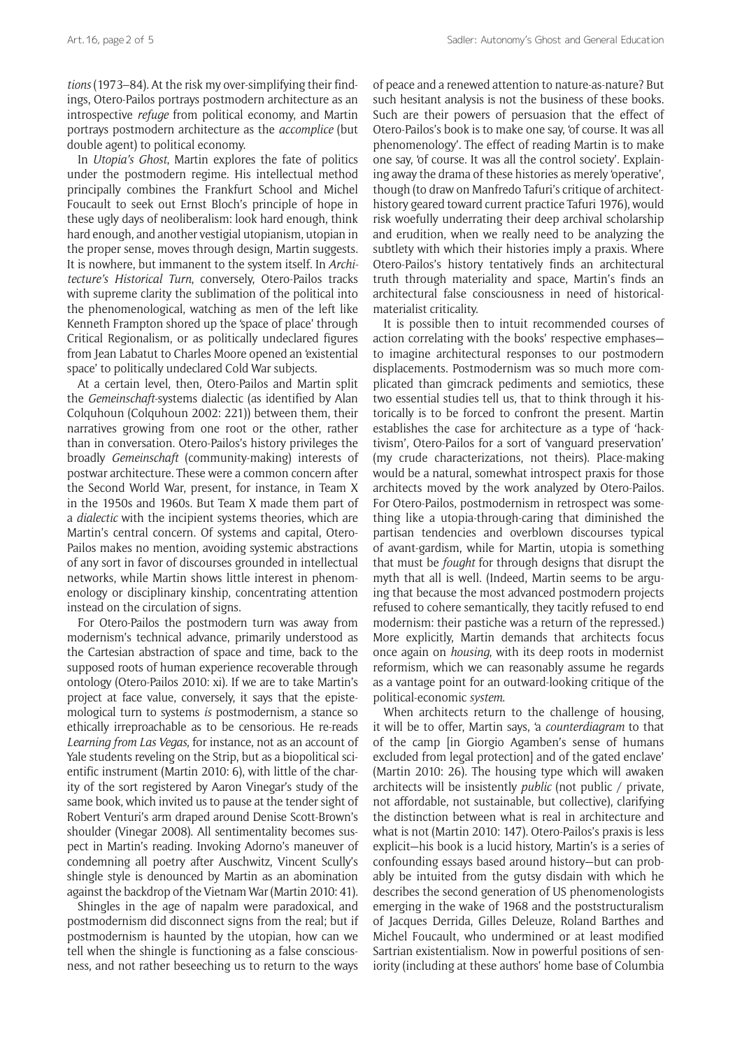*tions* (1973–84). At the risk my over-simplifying their findings, Otero-Pailos portrays postmodern architecture as an introspective *refuge* from political economy, and Martin portrays postmodern architecture as the *accomplice* (but double agent) to political economy.

In *Utopia's Ghost*, Martin explores the fate of politics under the postmodern regime. His intellectual method principally combines the Frankfurt School and Michel Foucault to seek out Ernst Bloch's principle of hope in these ugly days of neoliberalism: look hard enough, think hard enough, and another vestigial utopianism, utopian in the proper sense, moves through design, Martin suggests. It is nowhere, but immanent to the system itself. In *Architecture's Historical Turn*, conversely, Otero-Pailos tracks with supreme clarity the sublimation of the political into the phenomenological, watching as men of the left like Kenneth Frampton shored up the 'space of place' through Critical Regionalism, or as politically undeclared figures from Jean Labatut to Charles Moore opened an 'existential space' to politically undeclared Cold War subjects.

At a certain level, then, Otero-Pailos and Martin split the *Gemeinschaft*-systems dialectic (as identified by Alan Colquhoun (Colquhoun 2002: 221)) between them, their narratives growing from one root or the other, rather than in conversation. Otero-Pailos's history privileges the broadly *Gemeinschaft* (community-making) interests of postwar architecture. These were a common concern after the Second World War, present, for instance, in Team X in the 1950s and 1960s. But Team X made them part of a *dialectic* with the incipient systems theories, which are Martin's central concern. Of systems and capital, Otero-Pailos makes no mention, avoiding systemic abstractions of any sort in favor of discourses grounded in intellectual networks, while Martin shows little interest in phenomenology or disciplinary kinship, concentrating attention instead on the circulation of signs.

For Otero-Pailos the postmodern turn was away from modernism's technical advance, primarily understood as the Cartesian abstraction of space and time, back to the supposed roots of human experience recoverable through ontology (Otero-Pailos 2010: xi). If we are to take Martin's project at face value, conversely, it says that the epistemological turn to systems *is* postmodernism, a stance so ethically irreproachable as to be censorious. He re-reads *Learning from Las Vegas*, for instance, not as an account of Yale students reveling on the Strip, but as a biopolitical scientific instrument (Martin 2010: 6), with little of the charity of the sort registered by Aaron Vinegar's study of the same book, which invited us to pause at the tender sight of Robert Venturi's arm draped around Denise Scott-Brown's shoulder (Vinegar 2008). All sentimentality becomes suspect in Martin's reading. Invoking Adorno's maneuver of condemning all poetry after Auschwitz, Vincent Scully's shingle style is denounced by Martin as an abomination against the backdrop of the Vietnam War (Martin 2010: 41).

Shingles in the age of napalm were paradoxical, and postmodernism did disconnect signs from the real; but if postmodernism is haunted by the utopian, how can we tell when the shingle is functioning as a false consciousness, and not rather beseeching us to return to the ways

of peace and a renewed attention to nature-as-nature? But such hesitant analysis is not the business of these books. Such are their powers of persuasion that the effect of Otero-Pailos's book is to make one say, 'of course. It was all phenomenology'. The effect of reading Martin is to make one say, 'of course. It was all the control society'. Explaining away the drama of these histories as merely 'operative', though (to draw on Manfredo Tafuri's critique of architecthistory geared toward current practice Tafuri 1976), would risk woefully underrating their deep archival scholarship and erudition, when we really need to be analyzing the subtlety with which their histories imply a praxis. Where Otero-Pailos's history tentatively finds an architectural truth through materiality and space, Martin's finds an architectural false consciousness in need of historicalmaterialist criticality.

It is possible then to intuit recommended courses of action correlating with the books' respective emphases to imagine architectural responses to our postmodern displacements. Postmodernism was so much more complicated than gimcrack pediments and semiotics, these two essential studies tell us, that to think through it historically is to be forced to confront the present. Martin establishes the case for architecture as a type of 'hacktivism', Otero-Pailos for a sort of 'vanguard preservation' (my crude characterizations, not theirs). Place-making would be a natural, somewhat introspect praxis for those architects moved by the work analyzed by Otero-Pailos. For Otero-Pailos, postmodernism in retrospect was something like a utopia-through-caring that diminished the partisan tendencies and overblown discourses typical of avant-gardism, while for Martin, utopia is something that must be *fought* for through designs that disrupt the myth that all is well. (Indeed, Martin seems to be arguing that because the most advanced postmodern projects refused to cohere semantically, they tacitly refused to end modernism: their pastiche was a return of the repressed.) More explicitly, Martin demands that architects focus once again on *housing*, with its deep roots in modernist reformism, which we can reasonably assume he regards as a vantage point for an outward-looking critique of the political-economic *system*.

When architects return to the challenge of housing, it will be to offer, Martin says, 'a *counterdiagram* to that of the camp [in Giorgio Agamben's sense of humans excluded from legal protection] and of the gated enclave' (Martin 2010: 26). The housing type which will awaken architects will be insistently *public* (not public / private, not affordable, not sustainable, but collective), clarifying the distinction between what is real in architecture and what is not (Martin 2010: 147). Otero-Pailos's praxis is less explicit—his book is a lucid history, Martin's is a series of confounding essays based around history—but can probably be intuited from the gutsy disdain with which he describes the second generation of US phenomenologists emerging in the wake of 1968 and the poststructuralism of Jacques Derrida, Gilles Deleuze, Roland Barthes and Michel Foucault, who undermined or at least modified Sartrian existentialism. Now in powerful positions of seniority (including at these authors' home base of Columbia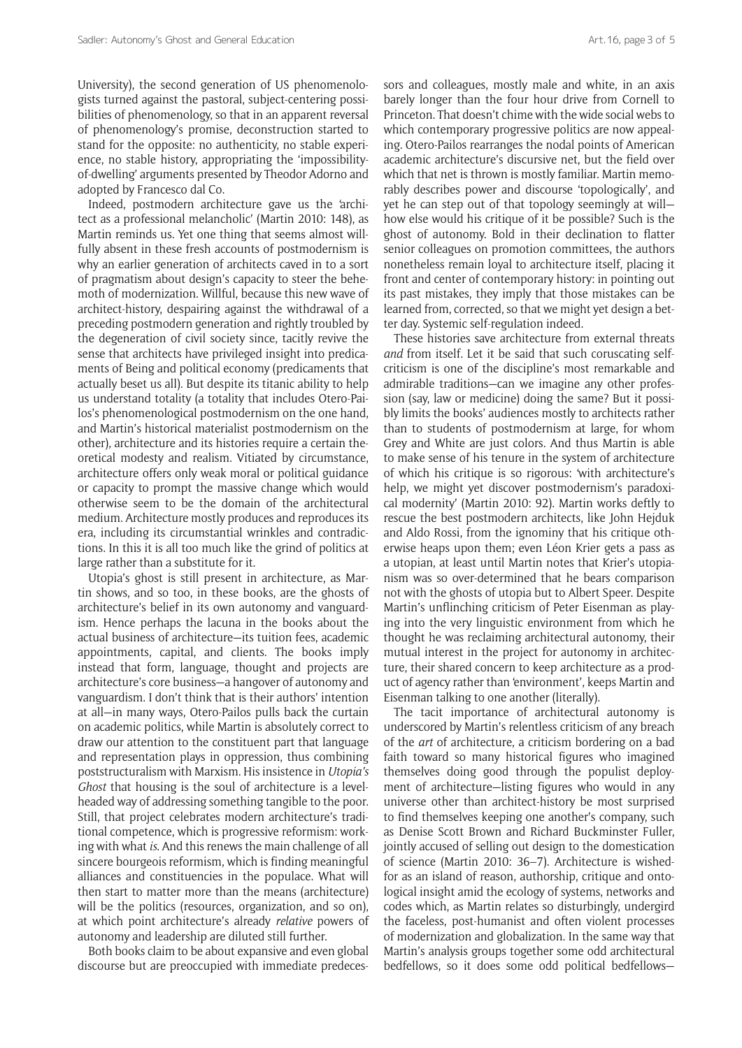University), the second generation of US phenomenologists turned against the pastoral, subject-centering possibilities of phenomenology, so that in an apparent reversal of phenomenology's promise, deconstruction started to stand for the opposite: no authenticity, no stable experience, no stable history, appropriating the 'impossibilityof-dwelling' arguments presented by Theodor Adorno and adopted by Francesco dal Co.

Indeed, postmodern architecture gave us the 'architect as a professional melancholic' (Martin 2010: 148), as Martin reminds us. Yet one thing that seems almost willfully absent in these fresh accounts of postmodernism is why an earlier generation of architects caved in to a sort of pragmatism about design's capacity to steer the behemoth of modernization. Willful, because this new wave of architect-history, despairing against the withdrawal of a preceding postmodern generation and rightly troubled by the degeneration of civil society since, tacitly revive the sense that architects have privileged insight into predicaments of Being and political economy (predicaments that actually beset us all). But despite its titanic ability to help us understand totality (a totality that includes Otero-Pailos's phenomenological postmodernism on the one hand, and Martin's historical materialist postmodernism on the other), architecture and its histories require a certain theoretical modesty and realism. Vitiated by circumstance, architecture offers only weak moral or political guidance or capacity to prompt the massive change which would otherwise seem to be the domain of the architectural medium. Architecture mostly produces and reproduces its era, including its circumstantial wrinkles and contradictions. In this it is all too much like the grind of politics at large rather than a substitute for it.

Utopia's ghost is still present in architecture, as Martin shows, and so too, in these books, are the ghosts of architecture's belief in its own autonomy and vanguardism. Hence perhaps the lacuna in the books about the actual business of architecture—its tuition fees, academic appointments, capital, and clients. The books imply instead that form, language, thought and projects are architecture's core business—a hangover of autonomy and vanguardism. I don't think that is their authors' intention at all—in many ways, Otero-Pailos pulls back the curtain on academic politics, while Martin is absolutely correct to draw our attention to the constituent part that language and representation plays in oppression, thus combining poststructuralism with Marxism. His insistence in *Utopia's Ghost* that housing is the soul of architecture is a levelheaded way of addressing something tangible to the poor. Still, that project celebrates modern architecture's traditional competence, which is progressive reformism: working with what *is*. And this renews the main challenge of all sincere bourgeois reformism, which is finding meaningful alliances and constituencies in the populace. What will then start to matter more than the means (architecture) will be the politics (resources, organization, and so on). at which point architecture's already *relative* powers of autonomy and leadership are diluted still further.

Both books claim to be about expansive and even global discourse but are preoccupied with immediate predecessors and colleagues, mostly male and white, in an axis barely longer than the four hour drive from Cornell to Princeton. That doesn't chime with the wide social webs to which contemporary progressive politics are now appealing. Otero-Pailos rearranges the nodal points of American academic architecture's discursive net, but the field over which that net is thrown is mostly familiar. Martin memorably describes power and discourse 'topologically', and yet he can step out of that topology seemingly at will how else would his critique of it be possible? Such is the ghost of autonomy. Bold in their declination to flatter senior colleagues on promotion committees, the authors nonetheless remain loyal to architecture itself, placing it front and center of contemporary history: in pointing out its past mistakes, they imply that those mistakes can be learned from, corrected, so that we might yet design a better day. Systemic self-regulation indeed.

These histories save architecture from external threats *and* from itself. Let it be said that such coruscating selfcriticism is one of the discipline's most remarkable and admirable traditions—can we imagine any other profession (say, law or medicine) doing the same? But it possibly limits the books' audiences mostly to architects rather than to students of postmodernism at large, for whom Grey and White are just colors. And thus Martin is able to make sense of his tenure in the system of architecture of which his critique is so rigorous: 'with architecture's help, we might yet discover postmodernism's paradoxical modernity' (Martin 2010: 92). Martin works deftly to rescue the best postmodern architects, like John Hejduk and Aldo Rossi, from the ignominy that his critique otherwise heaps upon them; even Léon Krier gets a pass as a utopian, at least until Martin notes that Krier's utopianism was so over-determined that he bears comparison not with the ghosts of utopia but to Albert Speer. Despite Martin's unflinching criticism of Peter Eisenman as playing into the very linguistic environment from which he thought he was reclaiming architectural autonomy, their mutual interest in the project for autonomy in architecture, their shared concern to keep architecture as a product of agency rather than 'environment', keeps Martin and Eisenman talking to one another (literally).

The tacit importance of architectural autonomy is underscored by Martin's relentless criticism of any breach of the *art* of architecture, a criticism bordering on a bad faith toward so many historical figures who imagined themselves doing good through the populist deployment of architecture—listing figures who would in any universe other than architect-history be most surprised to find themselves keeping one another's company, such as Denise Scott Brown and Richard Buckminster Fuller, jointly accused of selling out design to the domestication of science (Martin 2010: 36–7). Architecture is wishedfor as an island of reason, authorship, critique and ontological insight amid the ecology of systems, networks and codes which, as Martin relates so disturbingly, undergird the faceless, post-humanist and often violent processes of modernization and globalization. In the same way that Martin's analysis groups together some odd architectural bedfellows, so it does some odd political bedfellows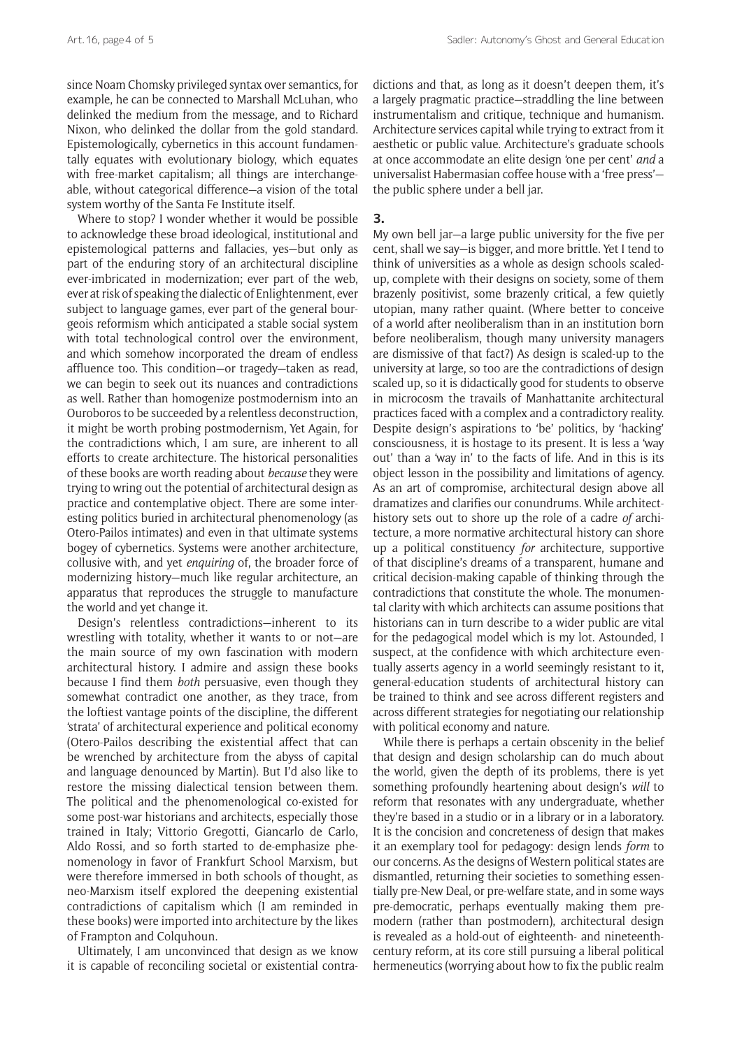since Noam Chomsky privileged syntax over semantics, for example, he can be connected to Marshall McLuhan, who delinked the medium from the message, and to Richard Nixon, who delinked the dollar from the gold standard. Epistemologically, cybernetics in this account fundamentally equates with evolutionary biology, which equates with free-market capitalism; all things are interchangeable, without categorical difference—a vision of the total system worthy of the Santa Fe Institute itself.

Where to stop? I wonder whether it would be possible to acknowledge these broad ideological, institutional and epistemological patterns and fallacies, yes—but only as part of the enduring story of an architectural discipline ever-imbricated in modernization; ever part of the web, ever at risk of speaking the dialectic of Enlightenment, ever subject to language games, ever part of the general bourgeois reformism which anticipated a stable social system with total technological control over the environment. and which somehow incorporated the dream of endless affluence too. This condition—or tragedy—taken as read, we can begin to seek out its nuances and contradictions as well. Rather than homogenize postmodernism into an Ouroboros to be succeeded by a relentless deconstruction, it might be worth probing postmodernism, Yet Again, for the contradictions which, I am sure, are inherent to all efforts to create architecture. The historical personalities of these books are worth reading about *because* they were trying to wring out the potential of architectural design as practice and contemplative object. There are some interesting politics buried in architectural phenomenology (as Otero-Pailos intimates) and even in that ultimate systems bogey of cybernetics. Systems were another architecture, collusive with, and yet *enquiring* of, the broader force of modernizing history—much like regular architecture, an apparatus that reproduces the struggle to manufacture the world and yet change it.

Design's relentless contradictions—inherent to its wrestling with totality, whether it wants to or not—are the main source of my own fascination with modern architectural history. I admire and assign these books because I find them *both* persuasive, even though they somewhat contradict one another, as they trace, from the loftiest vantage points of the discipline, the different 'strata' of architectural experience and political economy (Otero-Pailos describing the existential affect that can be wrenched by architecture from the abyss of capital and language denounced by Martin). But I'd also like to restore the missing dialectical tension between them. The political and the phenomenological co-existed for some post-war historians and architects, especially those trained in Italy; Vittorio Gregotti, Giancarlo de Carlo, Aldo Rossi, and so forth started to de-emphasize phenomenology in favor of Frankfurt School Marxism, but were therefore immersed in both schools of thought, as neo-Marxism itself explored the deepening existential contradictions of capitalism which (I am reminded in these books) were imported into architecture by the likes of Frampton and Colquhoun.

Ultimately, I am unconvinced that design as we know it is capable of reconciling societal or existential contra-

dictions and that, as long as it doesn't deepen them, it's a largely pragmatic practice—straddling the line between instrumentalism and critique, technique and humanism. Architecture services capital while trying to extract from it aesthetic or public value. Architecture's graduate schools at once accommodate an elite design 'one per cent' *and* a universalist Habermasian coffee house with a 'free press' the public sphere under a bell jar.

### **3.**

My own bell jar—a large public university for the five per cent, shall we say—is bigger, and more brittle. Yet I tend to think of universities as a whole as design schools scaledup, complete with their designs on society, some of them brazenly positivist, some brazenly critical, a few quietly utopian, many rather quaint. (Where better to conceive of a world after neoliberalism than in an institution born before neoliberalism, though many university managers are dismissive of that fact?) As design is scaled-up to the university at large, so too are the contradictions of design scaled up, so it is didactically good for students to observe in microcosm the travails of Manhattanite architectural practices faced with a complex and a contradictory reality. Despite design's aspirations to 'be' politics, by 'hacking' consciousness, it is hostage to its present. It is less a 'way out' than a 'way in' to the facts of life. And in this is its object lesson in the possibility and limitations of agency. As an art of compromise, architectural design above all dramatizes and clarifies our conundrums. While architecthistory sets out to shore up the role of a cadre *of* architecture, a more normative architectural history can shore up a political constituency *for* architecture, supportive of that discipline's dreams of a transparent, humane and critical decision-making capable of thinking through the contradictions that constitute the whole. The monumental clarity with which architects can assume positions that historians can in turn describe to a wider public are vital for the pedagogical model which is my lot. Astounded, I suspect, at the confidence with which architecture eventually asserts agency in a world seemingly resistant to it, general-education students of architectural history can be trained to think and see across different registers and across different strategies for negotiating our relationship with political economy and nature.

While there is perhaps a certain obscenity in the belief that design and design scholarship can do much about the world, given the depth of its problems, there is yet something profoundly heartening about design's *will* to reform that resonates with any undergraduate, whether they're based in a studio or in a library or in a laboratory. It is the concision and concreteness of design that makes it an exemplary tool for pedagogy: design lends *form* to our concerns. As the designs of Western political states are dismantled, returning their societies to something essentially pre-New Deal, or pre-welfare state, and in some ways pre-democratic, perhaps eventually making them premodern (rather than postmodern), architectural design is revealed as a hold-out of eighteenth- and nineteenthcentury reform, at its core still pursuing a liberal political hermeneutics (worrying about how to fix the public realm